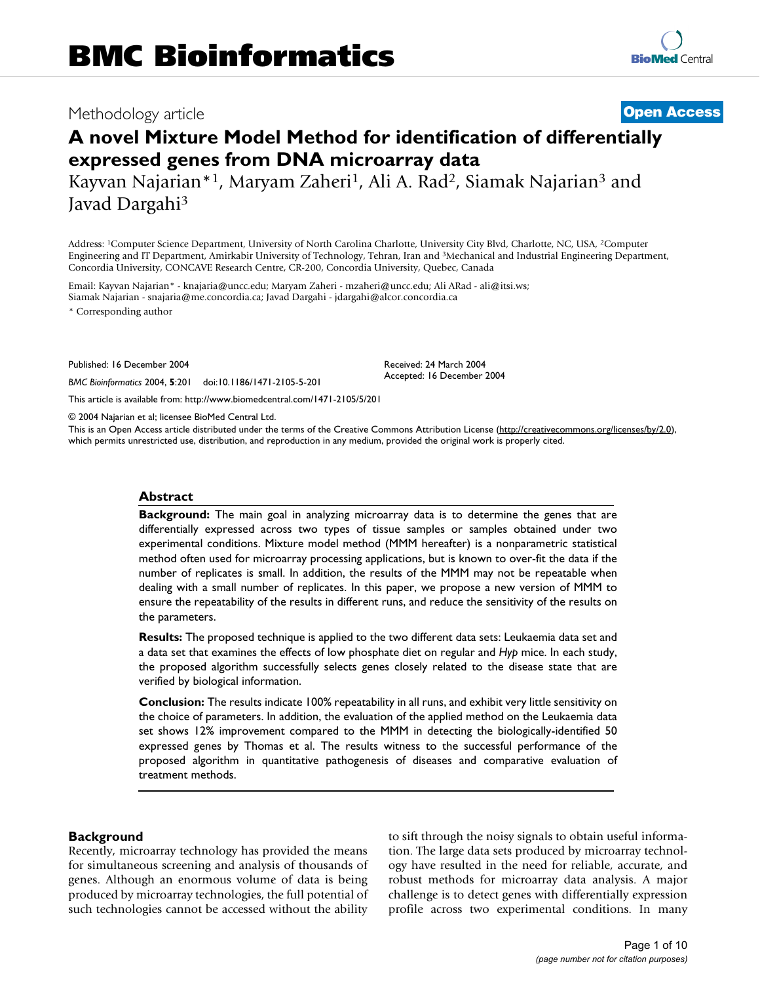# Methodology article **[Open Access](http://www.biomedcentral.com/info/about/charter/)**

# **A novel Mixture Model Method for identification of differentially expressed genes from DNA microarray data**

Kayvan Najarian\*1, Maryam Zaheri1, Ali A. Rad2, Siamak Najarian3 and Javad Dargahi3

Address: 1Computer Science Department, University of North Carolina Charlotte, University City Blvd, Charlotte, NC, USA, 2Computer Engineering and IT Department, Amirkabir University of Technology, Tehran, Iran and 3Mechanical and Industrial Engineering Department, Concordia University, CONCAVE Research Centre, CR-200, Concordia University, Quebec, Canada

Email: Kayvan Najarian\* - knajaria@uncc.edu; Maryam Zaheri - mzaheri@uncc.edu; Ali ARad - ali@itsi.ws; Siamak Najarian - snajaria@me.concordia.ca; Javad Dargahi - jdargahi@alcor.concordia.ca

\* Corresponding author

Published: 16 December 2004

*BMC Bioinformatics* 2004, **5**:201 doi:10.1186/1471-2105-5-201

[This article is available from: http://www.biomedcentral.com/1471-2105/5/201](http://www.biomedcentral.com/1471-2105/5/201)

© 2004 Najarian et al; licensee BioMed Central Ltd.

This is an Open Access article distributed under the terms of the Creative Commons Attribution License [\(http://creativecommons.org/licenses/by/2.0\)](http://creativecommons.org/licenses/by/2.0), which permits unrestricted use, distribution, and reproduction in any medium, provided the original work is properly cited.

Received: 24 March 2004 Accepted: 16 December 2004

#### **Abstract**

**Background:** The main goal in analyzing microarray data is to determine the genes that are differentially expressed across two types of tissue samples or samples obtained under two experimental conditions. Mixture model method (MMM hereafter) is a nonparametric statistical method often used for microarray processing applications, but is known to over-fit the data if the number of replicates is small. In addition, the results of the MMM may not be repeatable when dealing with a small number of replicates. In this paper, we propose a new version of MMM to ensure the repeatability of the results in different runs, and reduce the sensitivity of the results on the parameters.

**Results:** The proposed technique is applied to the two different data sets: Leukaemia data set and a data set that examines the effects of low phosphate diet on regular and *Hyp* mice. In each study, the proposed algorithm successfully selects genes closely related to the disease state that are verified by biological information.

**Conclusion:** The results indicate 100% repeatability in all runs, and exhibit very little sensitivity on the choice of parameters. In addition, the evaluation of the applied method on the Leukaemia data set shows 12% improvement compared to the MMM in detecting the biologically-identified 50 expressed genes by Thomas et al. The results witness to the successful performance of the proposed algorithm in quantitative pathogenesis of diseases and comparative evaluation of treatment methods.

# **Background**

Recently, microarray technology has provided the means for simultaneous screening and analysis of thousands of genes. Although an enormous volume of data is being produced by microarray technologies, the full potential of such technologies cannot be accessed without the ability to sift through the noisy signals to obtain useful information. The large data sets produced by microarray technology have resulted in the need for reliable, accurate, and robust methods for microarray data analysis. A major challenge is to detect genes with differentially expression profile across two experimental conditions. In many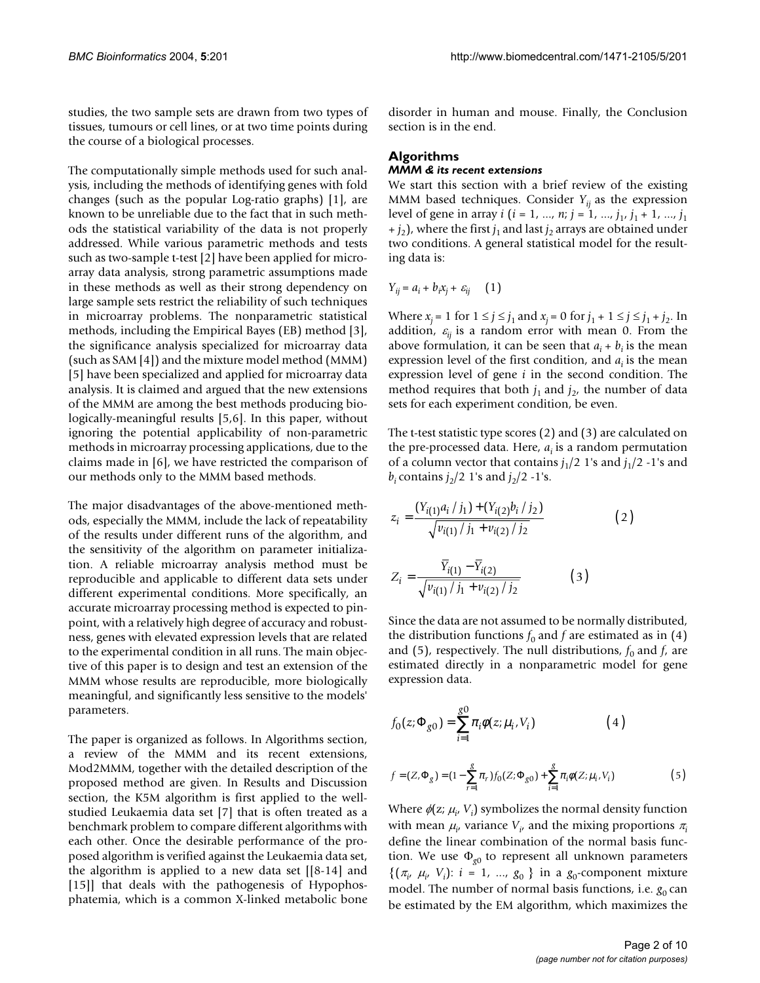studies, the two sample sets are drawn from two types of tissues, tumours or cell lines, or at two time points during the course of a biological processes.

The computationally simple methods used for such analysis, including the methods of identifying genes with fold changes (such as the popular Log-ratio graphs) [1], are known to be unreliable due to the fact that in such methods the statistical variability of the data is not properly addressed. While various parametric methods and tests such as two-sample t-test [2] have been applied for microarray data analysis, strong parametric assumptions made in these methods as well as their strong dependency on large sample sets restrict the reliability of such techniques in microarray problems. The nonparametric statistical methods, including the Empirical Bayes (EB) method [3], the significance analysis specialized for microarray data (such as SAM [4]) and the mixture model method (MMM) [5] have been specialized and applied for microarray data analysis. It is claimed and argued that the new extensions of the MMM are among the best methods producing biologically-meaningful results [5,6]. In this paper, without ignoring the potential applicability of non-parametric methods in microarray processing applications, due to the claims made in [6], we have restricted the comparison of our methods only to the MMM based methods.

The major disadvantages of the above-mentioned methods, especially the MMM, include the lack of repeatability of the results under different runs of the algorithm, and the sensitivity of the algorithm on parameter initialization. A reliable microarray analysis method must be reproducible and applicable to different data sets under different experimental conditions. More specifically, an accurate microarray processing method is expected to pinpoint, with a relatively high degree of accuracy and robustness, genes with elevated expression levels that are related to the experimental condition in all runs. The main objective of this paper is to design and test an extension of the MMM whose results are reproducible, more biologically meaningful, and significantly less sensitive to the models' parameters.

The paper is organized as follows. In Algorithms section, a review of the MMM and its recent extensions, Mod2MMM, together with the detailed description of the proposed method are given. In Results and Discussion section, the K5M algorithm is first applied to the wellstudied Leukaemia data set [7] that is often treated as a benchmark problem to compare different algorithms with each other. Once the desirable performance of the proposed algorithm is verified against the Leukaemia data set, the algorithm is applied to a new data set [[8-14] and [15]] that deals with the pathogenesis of Hypophosphatemia, which is a common X-linked metabolic bone

disorder in human and mouse. Finally, the Conclusion section is in the end.

# **Algorithms**

## *MMM & its recent extensions*

We start this section with a brief review of the existing MMM based techniques. Consider  $Y_{ii}$  as the expression level of gene in array *i* (*i* = 1, ..., *n*; *j* = 1, ..., *j*<sub>1</sub>, *j*<sub>1</sub> + 1, ..., *j*<sub>1</sub>  $+j_2$ ), where the first  $j_1$  and last  $j_2$  arrays are obtained under two conditions. A general statistical model for the resulting data is:

$$
Y_{ij} = a_i + b_i x_j + \varepsilon_{ij} \qquad (1)
$$

Where *x<sub>i</sub>* = 1 for  $1 ≤ j ≤ j<sub>1</sub>$  and *x<sub>i</sub>* = 0 for  $j<sub>1</sub> + 1 ≤ j ≤ j<sub>1</sub> + j<sub>2</sub>$ . In addition,  $\varepsilon_{ii}$  is a random error with mean 0. From the above formulation, it can be seen that  $a_i + b_i$  is the mean expression level of the first condition, and  $a_i$  is the mean expression level of gene *i* in the second condition. The method requires that both  $j_1$  and  $j_2$ , the number of data sets for each experiment condition, be even.

The t-test statistic type scores (2) and (3) are calculated on the pre-processed data. Here, *ai* is a random permutation of a column vector that contains  $j_1/2$  1's and  $j_1/2$  -1's and *b<sub>i</sub>* contains  $j_2/2$  1's and  $j_2/2$  -1's.

$$
z_{i} = \frac{(Y_{i(1)}a_{i}/j_{1}) + (Y_{i(2)}b_{i}/j_{2})}{\sqrt{v_{i(1)}/j_{1} + v_{i(2)}/j_{2}}}
$$
(2)

$$
Z_{i} = \frac{\overline{Y}_{i(1)} - \overline{Y}_{i(2)}}{\sqrt{v_{i(1)}/j_{1} + v_{i(2)}/j_{2}}}
$$
(3)

Since the data are not assumed to be normally distributed, the distribution functions  $f_0$  and  $f$  are estimated as in (4) and (5), respectively. The null distributions,  $f_0$  and  $f$ , are estimated directly in a nonparametric model for gene expression data.

$$
f_0(z; \Phi_{g0}) = \sum_{i=1}^{g0} \pi_i \phi(z; \mu_i, V_i)
$$
 (4)

$$
f = (Z, \Phi_g) = (1 - \sum_{r=1}^{g} \pi_r) f_0(Z; \Phi_{g0}) + \sum_{i=1}^{g} \pi_i \phi(Z; \mu_i, V_i)
$$
(5)

Where  $\phi(z; \mu_i, V_i)$  symbolizes the normal density function with mean  $\mu_i$ , variance  $V_i$ , and the mixing proportions  $\pi_i$ define the linear combination of the normal basis function. We use Φ*g*0 to represent all unknown parameters  $\{(\pi_i, \mu_i, V_i): i = 1, ..., g_0\}$  in a *g*<sub>0</sub>-component mixture model. The number of normal basis functions, i.e.  $g_0$  can be estimated by the EM algorithm, which maximizes the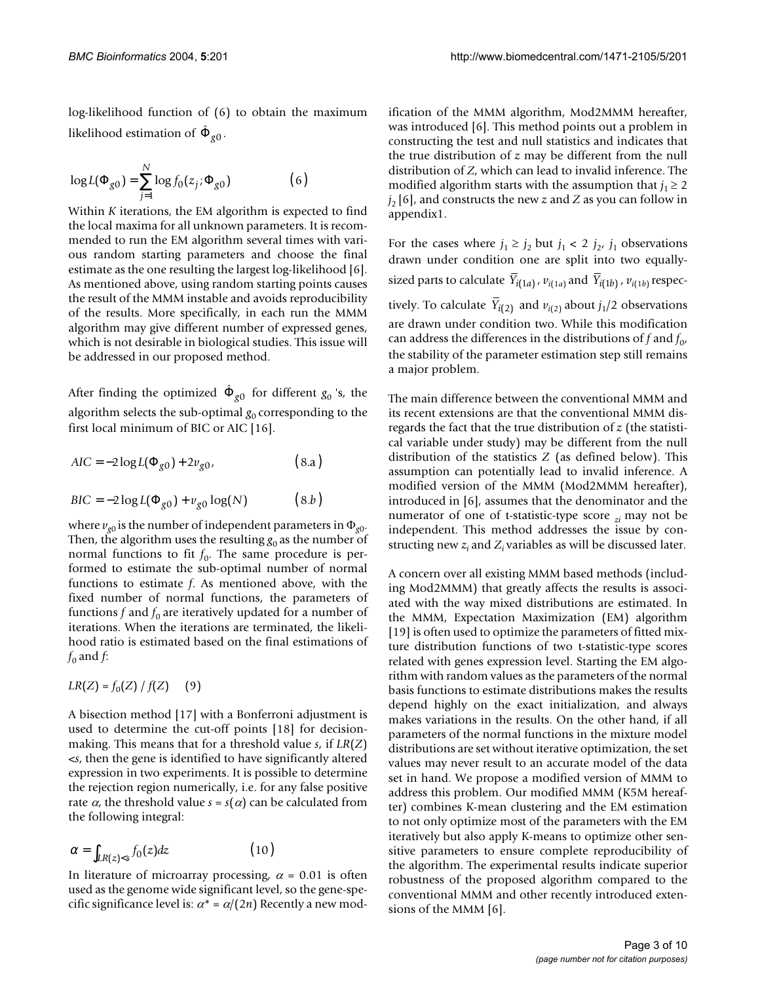log-likelihood function of (6) to obtain the maximum likelihood estimation of  $\hat{\Phi}_{g0}$ .

$$
\log L(\Phi_{g0}) = \sum_{j=1}^{N} \log f_0(z_j; \Phi_{g0})
$$
 (6)

Within *K* iterations, the EM algorithm is expected to find the local maxima for all unknown parameters. It is recommended to run the EM algorithm several times with various random starting parameters and choose the final estimate as the one resulting the largest log-likelihood [6]. As mentioned above, using random starting points causes the result of the MMM instable and avoids reproducibility of the results. More specifically, in each run the MMM algorithm may give different number of expressed genes, which is not desirable in biological studies. This issue will be addressed in our proposed method.

After finding the optimized  $\hat{\Phi}_{g0}$  for different  $g_0$  's, the algorithm selects the sub-optimal  $g_0$  corresponding to the first local minimum of BIC or AIC [16].

$$
AIC = -2\log L(\Phi_{g0}) + 2v_{g0},
$$
 (8.a)

$$
BIC = -2\log L(\Phi_{g0}) + \nu_{g0}\log(N) \tag{8.b}
$$

where  $v_{g0}$  is the number of independent parameters in  $\Phi_{g0}$ . Then, the algorithm uses the resulting  $g_0$  as the number of normal functions to fit  $f_0$ . The same procedure is performed to estimate the sub-optimal number of normal functions to estimate *f*. As mentioned above, with the fixed number of normal functions, the parameters of functions  $f$  and  $f_0$  are iteratively updated for a number of iterations. When the iterations are terminated, the likelihood ratio is estimated based on the final estimations of  $f_0$  and  $f$ :

$$
LR(Z) = f_0(Z) / f(Z) \quad (9)
$$

A bisection method [17] with a Bonferroni adjustment is used to determine the cut-off points [18] for decisionmaking. This means that for a threshold value *s*, if *LR*(*Z*) <*s*, then the gene is identified to have significantly altered expression in two experiments. It is possible to determine the rejection region numerically, i.e. for any false positive rate  $\alpha$ , the threshold value  $s = s(\alpha)$  can be calculated from the following integral:

$$
\alpha = \int_{LR(z) < s} f_0(z) \, dz \tag{10}
$$

In literature of microarray processing,  $\alpha = 0.01$  is often used as the genome wide significant level, so the gene-specific significance level is:  $\alpha^* = \alpha/(2n)$  Recently a new modification of the MMM algorithm, Mod2MMM hereafter, was introduced [6]. This method points out a problem in constructing the test and null statistics and indicates that the true distribution of *z* may be different from the null distribution of *Z*, which can lead to invalid inference. The modified algorithm starts with the assumption that  $j_1 \geq 2$  $j_2$  [6], and constructs the new *z* and *Z* as you can follow in appendix1.

For the cases where  $j_1 \ge j_2$  but  $j_1 < 2$   $j_2$ ,  $j_1$  observations drawn under condition one are split into two equallysized parts to calculate  $Y_{i(1a)}$ ,  $v_{i(1a)}$  and  $Y_{i(1b)}$ ,  $v_{i(1b)}$  respectively. To calculate  $Y_{i(2)}$  and  $v_{i(2)}$  about  $j_1/2$  observations are drawn under condition two. While this modification can address the differences in the distributions of  $f$  and  $f_0$ , the stability of the parameter estimation step still remains a major problem.

The main difference between the conventional MMM and its recent extensions are that the conventional MMM disregards the fact that the true distribution of *z* (the statistical variable under study) may be different from the null distribution of the statistics *Z* (as defined below). This assumption can potentially lead to invalid inference. A modified version of the MMM (Mod2MMM hereafter), introduced in [6], assumes that the denominator and the numerator of one of t-statistic-type score *zi* may not be independent. This method addresses the issue by constructing new  $z_i$  and  $Z_i$  variables as will be discussed later.

A concern over all existing MMM based methods (including Mod2MMM) that greatly affects the results is associated with the way mixed distributions are estimated. In the MMM, Expectation Maximization (EM) algorithm [19] is often used to optimize the parameters of fitted mixture distribution functions of two t-statistic-type scores related with genes expression level. Starting the EM algorithm with random values as the parameters of the normal basis functions to estimate distributions makes the results depend highly on the exact initialization, and always makes variations in the results. On the other hand, if all parameters of the normal functions in the mixture model distributions are set without iterative optimization, the set values may never result to an accurate model of the data set in hand. We propose a modified version of MMM to address this problem. Our modified MMM (K5M hereafter) combines K-mean clustering and the EM estimation to not only optimize most of the parameters with the EM iteratively but also apply K-means to optimize other sensitive parameters to ensure complete reproducibility of the algorithm. The experimental results indicate superior robustness of the proposed algorithm compared to the conventional MMM and other recently introduced extensions of the MMM [6].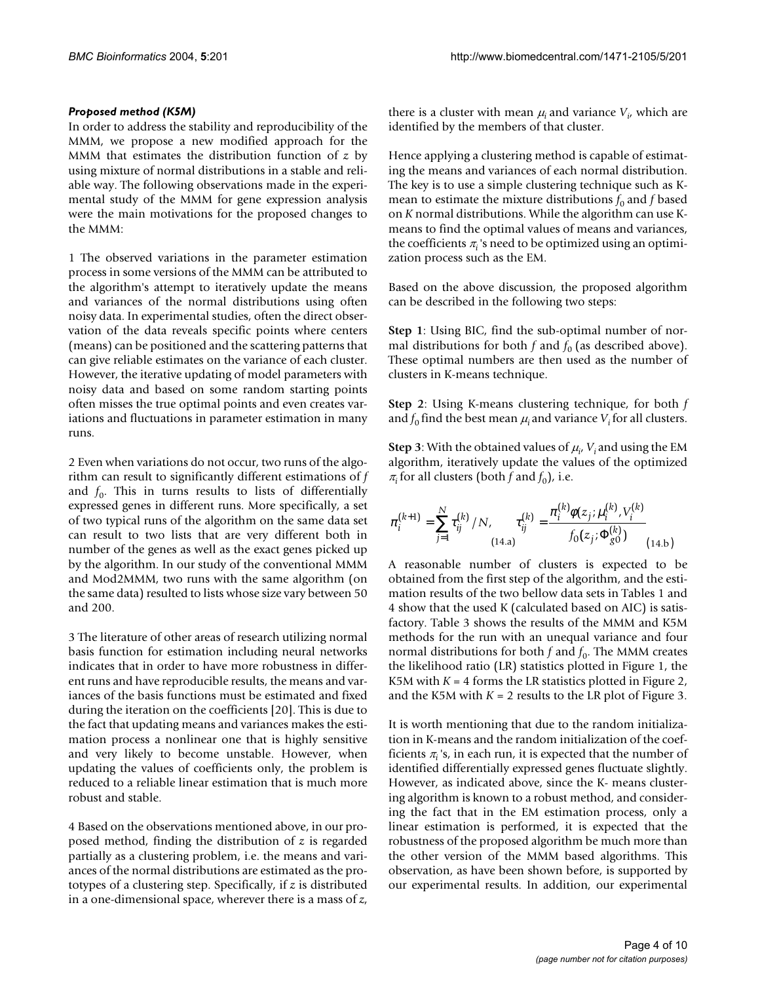# *Proposed method (K5M)*

In order to address the stability and reproducibility of the MMM, we propose a new modified approach for the MMM that estimates the distribution function of *z* by using mixture of normal distributions in a stable and reliable way. The following observations made in the experimental study of the MMM for gene expression analysis were the main motivations for the proposed changes to the MMM:

1 The observed variations in the parameter estimation process in some versions of the MMM can be attributed to the algorithm's attempt to iteratively update the means and variances of the normal distributions using often noisy data. In experimental studies, often the direct observation of the data reveals specific points where centers (means) can be positioned and the scattering patterns that can give reliable estimates on the variance of each cluster. However, the iterative updating of model parameters with noisy data and based on some random starting points often misses the true optimal points and even creates variations and fluctuations in parameter estimation in many runs.

2 Even when variations do not occur, two runs of the algorithm can result to significantly different estimations of *f* and  $f_0$ . This in turns results to lists of differentially expressed genes in different runs. More specifically, a set of two typical runs of the algorithm on the same data set can result to two lists that are very different both in number of the genes as well as the exact genes picked up by the algorithm. In our study of the conventional MMM and Mod2MMM, two runs with the same algorithm (on the same data) resulted to lists whose size vary between 50 and 200.

3 The literature of other areas of research utilizing normal basis function for estimation including neural networks indicates that in order to have more robustness in different runs and have reproducible results, the means and variances of the basis functions must be estimated and fixed during the iteration on the coefficients [20]. This is due to the fact that updating means and variances makes the estimation process a nonlinear one that is highly sensitive and very likely to become unstable. However, when updating the values of coefficients only, the problem is reduced to a reliable linear estimation that is much more robust and stable.

4 Based on the observations mentioned above, in our proposed method, finding the distribution of *z* is regarded partially as a clustering problem, i.e. the means and variances of the normal distributions are estimated as the prototypes of a clustering step. Specifically, if *z* is distributed in a one-dimensional space, wherever there is a mass of *z*,

there is a cluster with mean  $\mu_i$  and variance  $V_{i'}$  which are identified by the members of that cluster.

Hence applying a clustering method is capable of estimating the means and variances of each normal distribution. The key is to use a simple clustering technique such as Kmean to estimate the mixture distributions  $f_0$  and  $f$  based on *K* normal distributions. While the algorithm can use Kmeans to find the optimal values of means and variances, the coefficients  $\pi$ <sub>i</sub>'s need to be optimized using an optimization process such as the EM.

Based on the above discussion, the proposed algorithm can be described in the following two steps:

**Step 1**: Using BIC, find the sub-optimal number of normal distributions for both  $f$  and  $f_0$  (as described above). These optimal numbers are then used as the number of clusters in K-means technique.

**Step 2**: Using K-means clustering technique, for both *f* and  $f_0$  find the best mean  $\mu_i$  and variance  $V_i$  for all clusters.

**Step 3**: With the obtained values of  $\mu_i$ ,  $V_i$  and using the EM algorithm, iteratively update the values of the optimized  $\pi$ <sup>*i*</sup> for all clusters (both *f* and *f*<sup>0</sup>*f*), i.e.

$$
\pi_i^{(k+1)} = \sum_{j=1}^N \tau_{ij}^{(k)} / N, \qquad \tau_{ij}^{(k)} = \frac{\pi_i^{(k)} \phi(z_j; \mu_i^{(k)}, V_i^{(k)})}{f_0(z_j; \Phi_{g0}^{(k)})}
$$
(14.b)

A reasonable number of clusters is expected to be obtained from the first step of the algorithm, and the estimation results of the two bellow data sets in Tables [1](#page-4-0) and [4](#page-4-1) show that the used K (calculated based on AIC) is satisfactory. Table [3](#page-4-2) shows the results of the MMM and K5M methods for the run with an unequal variance and four normal distributions for both  $f$  and  $f_0$ . The MMM creates the likelihood ratio (LR) statistics plotted in Figure [1,](#page-5-0) the K5M with  $K = 4$  forms the LR statistics plotted in Figure [2,](#page-5-1) and the K5M with  $K = 2$  results to the LR plot of Figure [3](#page-5-2).

It is worth mentioning that due to the random initialization in K-means and the random initialization of the coefficients  $\pi$ <sub>i</sub>'s, in each run, it is expected that the number of identified differentially expressed genes fluctuate slightly. However, as indicated above, since the K- means clustering algorithm is known to a robust method, and considering the fact that in the EM estimation process, only a linear estimation is performed, it is expected that the robustness of the proposed algorithm be much more than the other version of the MMM based algorithms. This observation, as have been shown before, is supported by our experimental results. In addition, our experimental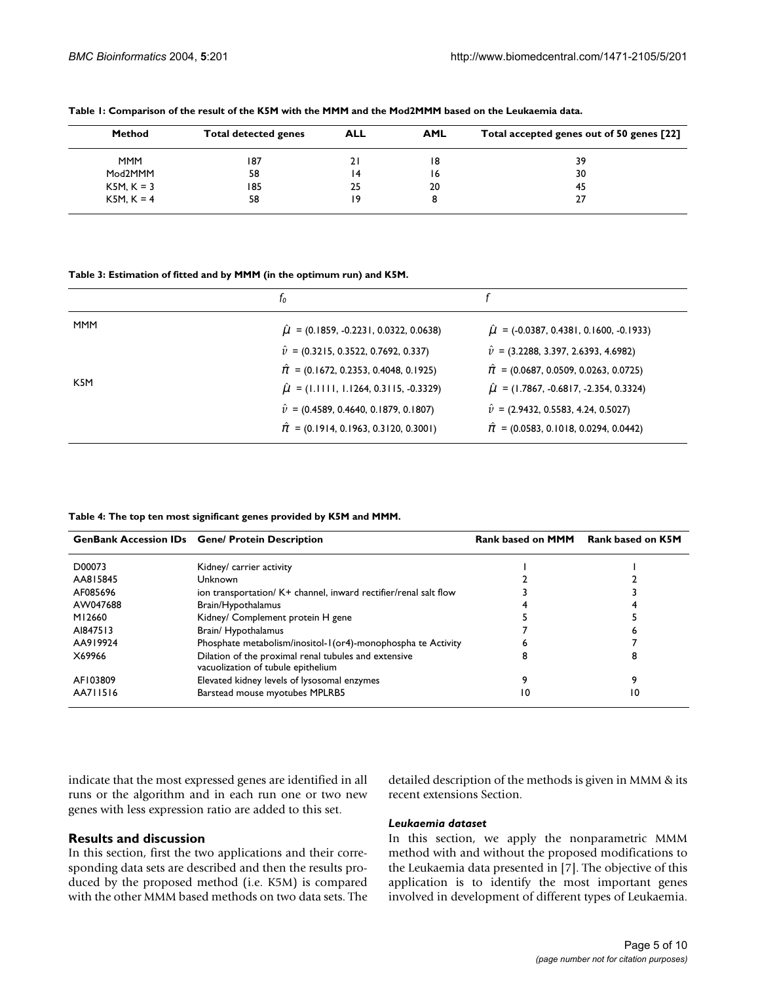| Method       | <b>Total detected genes</b> | <b>ALL</b> | <b>AML</b> | Total accepted genes out of 50 genes [22] |
|--------------|-----------------------------|------------|------------|-------------------------------------------|
| <b>MMM</b>   | 187                         | 21         | 18         | 39                                        |
| Mod2MMM      | 58                          | 14         | 16         | 30                                        |
| $K5M, K = 3$ | 185                         | 25         | 20         | 45                                        |
| $K5M, K = 4$ | 58                          | ۱9         |            |                                           |

<span id="page-4-0"></span>**Table 1: Comparison of the result of the K5M with the MMM and the Mod2MMM based on the Leukaemia data.**

<span id="page-4-2"></span>**Table 3: Estimation of fitted and by MMM (in the optimum run) and K5M.**

|                  | Ιo                                              |                                                  |
|------------------|-------------------------------------------------|--------------------------------------------------|
| <b>MMM</b>       | $\hat{\mu}$ = (0.1859, -0.2231, 0.0322, 0.0638) | $\hat{\mu}$ = (-0.0387, 0.4381, 0.1600, -0.1933) |
|                  | $\hat{v}$ = (0.3215, 0.3522, 0.7692, 0.337)     | $\hat{v}$ = (3.2288, 3.397, 2.6393, 4.6982)      |
|                  | $\hat{\pi}$ = (0.1672, 0.2353, 0.4048, 0.1925)  | $\hat{\pi}$ = (0.0687, 0.0509, 0.0263, 0.0725)   |
| K <sub>5</sub> M | $\hat{\mu}$ = (1.1111, 1.1264, 0.3115, -0.3329) | $\hat{\mu}$ = (1.7867, -0.6817, -2.354, 0.3324)  |
|                  | $\hat{v}$ = (0.4589, 0.4640, 0.1879, 0.1807)    | $\hat{v}$ = (2.9432, 0.5583, 4.24, 0.5027)       |
|                  | $\hat{\pi}$ = (0.1914, 0.1963, 0.3120, 0.3001)  | $\hat{\pi}$ = (0.0583, 0.1018, 0.0294, 0.0442)   |

<span id="page-4-1"></span>**Table 4: The top ten most significant genes provided by K5M and MMM.**

|          | <b>GenBank Accession IDs</b> Gene/ Protein Description                                     | <b>Rank based on MMM</b> | Rank based on K5M |
|----------|--------------------------------------------------------------------------------------------|--------------------------|-------------------|
| D00073   | Kidney/ carrier activity                                                                   |                          |                   |
| AA815845 | Unknown                                                                                    |                          |                   |
| AF085696 | ion transportation/ K+ channel, inward rectifier/renal salt flow                           |                          |                   |
| AW047688 | Brain/Hypothalamus                                                                         |                          |                   |
| M12660   | Kidney/ Complement protein H gene                                                          |                          |                   |
| AI847513 | Brain/Hypothalamus                                                                         |                          |                   |
| AA919924 | Phosphate metabolism/inositol-1(or4)-monophospha te Activity                               |                          |                   |
| X69966   | Dilation of the proximal renal tubules and extensive<br>vacuolization of tubule epithelium |                          | я                 |
| AF103809 | Elevated kidney levels of lysosomal enzymes                                                |                          |                   |
| AA711516 | Barstead mouse myotubes MPLRB5                                                             | 10                       | 10                |

indicate that the most expressed genes are identified in all runs or the algorithm and in each run one or two new genes with less expression ratio are added to this set.

# **Results and discussion**

In this section, first the two applications and their corresponding data sets are described and then the results produced by the proposed method (i.e. K5M) is compared with the other MMM based methods on two data sets. The detailed description of the methods is given in MMM & its recent extensions Section.

# *Leukaemia dataset*

In this section, we apply the nonparametric MMM method with and without the proposed modifications to the Leukaemia data presented in [7]. The objective of this application is to identify the most important genes involved in development of different types of Leukaemia.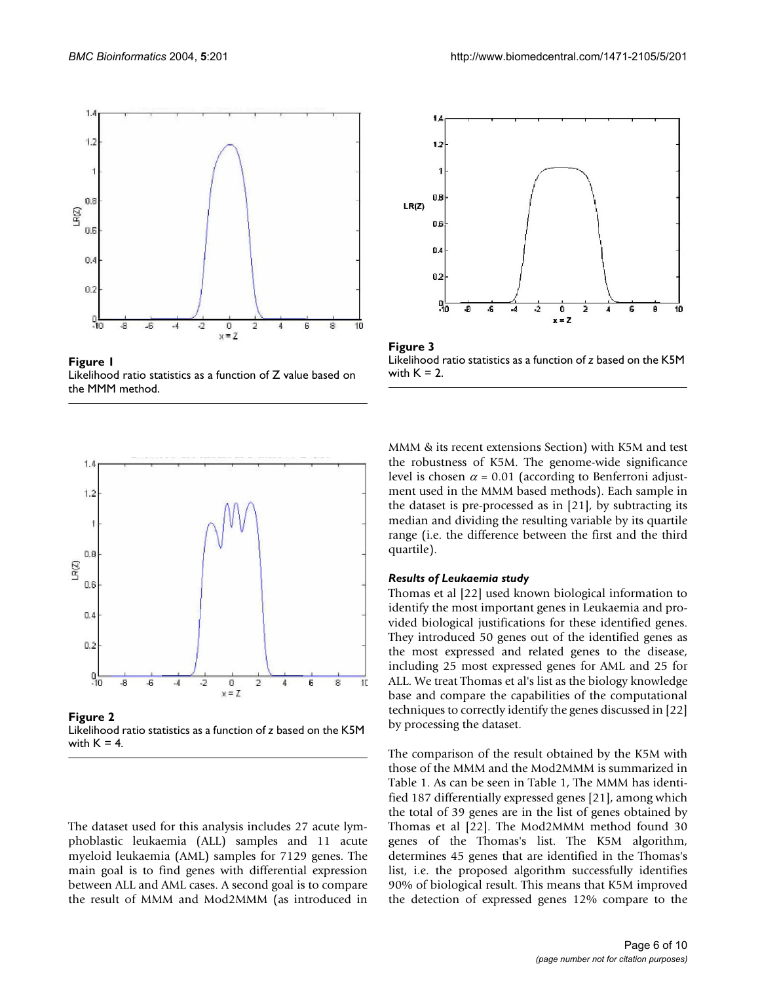<span id="page-5-0"></span>

Figure 1 Likelihood ratio statistics as a function of Z value based on the MMM method.

<span id="page-5-1"></span>

Figure 2 Likelihood ratio statistics as a function of *z* based on the K5M with  $K = 4$ .

The dataset used for this analysis includes 27 acute lymphoblastic leukaemia (ALL) samples and 11 acute myeloid leukaemia (AML) samples for 7129 genes. The main goal is to find genes with differential expression between ALL and AML cases. A second goal is to compare the result of MMM and Mod2MMM (as introduced in

<span id="page-5-2"></span>

Figure 3 Likelihood ratio statistics as a function of *z* based on the K5M with  $K = 2$ .

MMM & its recent extensions Section) with K5M and test the robustness of K5M. The genome-wide significance level is chosen  $\alpha$  = 0.01 (according to Benferroni adjustment used in the MMM based methods). Each sample in the dataset is pre-processed as in [21], by subtracting its median and dividing the resulting variable by its quartile range (i.e. the difference between the first and the third quartile).

#### *Results of Leukaemia study*

Thomas et al [22] used known biological information to identify the most important genes in Leukaemia and provided biological justifications for these identified genes. They introduced 50 genes out of the identified genes as the most expressed and related genes to the disease, including 25 most expressed genes for AML and 25 for ALL. We treat Thomas et al's list as the biology knowledge base and compare the capabilities of the computational techniques to correctly identify the genes discussed in [22] by processing the dataset.

The comparison of the result obtained by the K5M with those of the MMM and the Mod2MMM is summarized in Table [1](#page-4-0). As can be seen in Table [1,](#page-4-0) The MMM has identified 187 differentially expressed genes [21], among which the total of 39 genes are in the list of genes obtained by Thomas et al [22]. The Mod2MMM method found 30 genes of the Thomas's list. The K5M algorithm, determines 45 genes that are identified in the Thomas's list, i.e. the proposed algorithm successfully identifies 90% of biological result. This means that K5M improved the detection of expressed genes 12% compare to the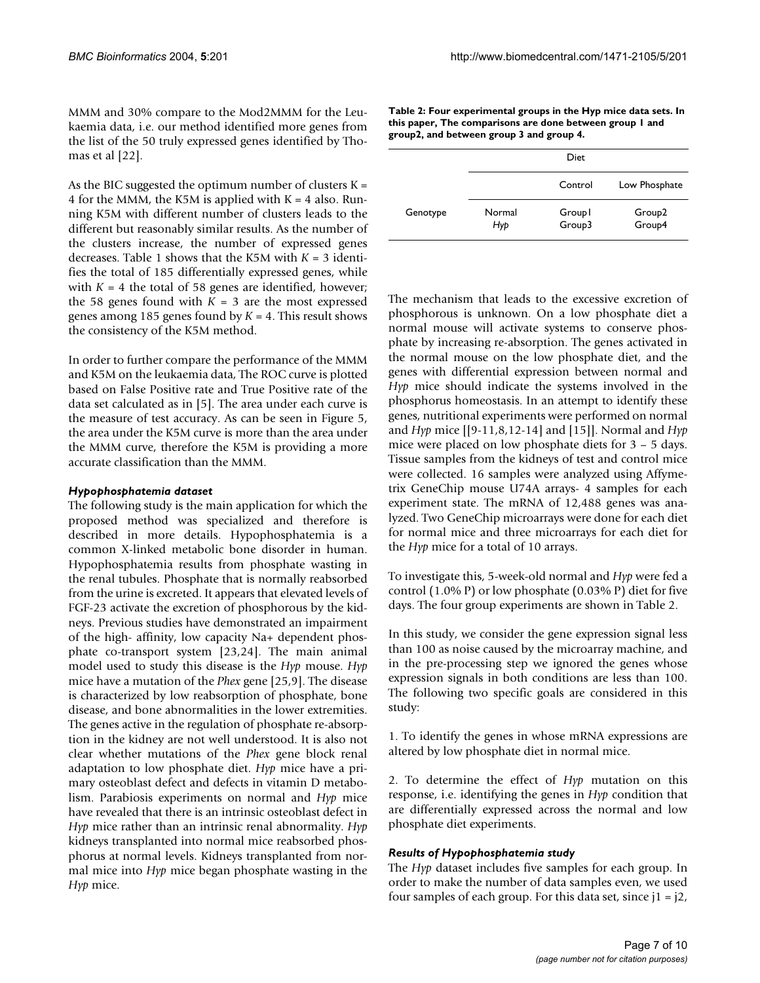MMM and 30% compare to the Mod2MMM for the Leukaemia data, i.e. our method identified more genes from the list of the 50 truly expressed genes identified by Thomas et al [22].

As the BIC suggested the optimum number of clusters  $K =$ 4 for the MMM, the K5M is applied with  $K = 4$  also. Running K5M with different number of clusters leads to the different but reasonably similar results. As the number of the clusters increase, the number of expressed genes decreases. Table [1](#page-4-0) shows that the K5M with *K* = 3 identifies the total of 185 differentially expressed genes, while with  $K = 4$  the total of 58 genes are identified, however; the 58 genes found with  $K = 3$  are the most expressed genes among 185 genes found by *K* = 4. This result shows the consistency of the K5M method.

In order to further compare the performance of the MMM and K5M on the leukaemia data, The ROC curve is plotted based on False Positive rate and True Positive rate of the data set calculated as in [5]. The area under each curve is the measure of test accuracy. As can be seen in Figure 5, the area under the K5M curve is more than the area under the MMM curve, therefore the K5M is providing a more accurate classification than the MMM.

# *Hypophosphatemia dataset*

The following study is the main application for which the proposed method was specialized and therefore is described in more details. Hypophosphatemia is a common X-linked metabolic bone disorder in human. Hypophosphatemia results from phosphate wasting in the renal tubules. Phosphate that is normally reabsorbed from the urine is excreted. It appears that elevated levels of FGF-23 activate the excretion of phosphorous by the kidneys. Previous studies have demonstrated an impairment of the high- affinity, low capacity Na+ dependent phosphate co-transport system [\[23](#page-9-0),24]. The main animal model used to study this disease is the *Hyp* mouse. *Hyp* mice have a mutation of the *Phex* gene [25,9]. The disease is characterized by low reabsorption of phosphate, bone disease, and bone abnormalities in the lower extremities. The genes active in the regulation of phosphate re-absorption in the kidney are not well understood. It is also not clear whether mutations of the *Phex* gene block renal adaptation to low phosphate diet. *Hyp* mice have a primary osteoblast defect and defects in vitamin D metabolism. Parabiosis experiments on normal and *Hyp* mice have revealed that there is an intrinsic osteoblast defect in *Hyp* mice rather than an intrinsic renal abnormality. *Hyp* kidneys transplanted into normal mice reabsorbed phosphorus at normal levels. Kidneys transplanted from normal mice into *Hyp* mice began phosphate wasting in the *Hyp* mice.

| Table 2: Four experimental groups in the Hyp mice data sets. In |
|-----------------------------------------------------------------|
| this paper, The comparisons are done between group I and        |
| group2, and between group 3 and group 4.                        |

|          |               | Diet             |                              |
|----------|---------------|------------------|------------------------------|
|          |               | Control          | Low Phosphate                |
| Genotype | Normal<br>Hyp | Groupl<br>Group3 | Group <sub>2</sub><br>Group4 |

The mechanism that leads to the excessive excretion of phosphorous is unknown. On a low phosphate diet a normal mouse will activate systems to conserve phosphate by increasing re-absorption. The genes activated in the normal mouse on the low phosphate diet, and the genes with differential expression between normal and *Hyp* mice should indicate the systems involved in the phosphorus homeostasis. In an attempt to identify these genes, nutritional experiments were performed on normal and *Hyp* mice [[9-11,8,12-14] and [15]]. Normal and *Hyp* mice were placed on low phosphate diets for  $3 - 5$  days. Tissue samples from the kidneys of test and control mice were collected. 16 samples were analyzed using Affymetrix GeneChip mouse U74A arrays- 4 samples for each experiment state. The mRNA of 12,488 genes was analyzed. Two GeneChip microarrays were done for each diet for normal mice and three microarrays for each diet for the *Hyp* mice for a total of 10 arrays.

To investigate this, 5-week-old normal and *Hyp* were fed a control (1.0% P) or low phosphate (0.03% P) diet for five days. The four group experiments are shown in Table 2.

In this study, we consider the gene expression signal less than 100 as noise caused by the microarray machine, and in the pre-processing step we ignored the genes whose expression signals in both conditions are less than 100. The following two specific goals are considered in this study:

1. To identify the genes in whose mRNA expressions are altered by low phosphate diet in normal mice.

2. To determine the effect of *Hyp* mutation on this response, i.e. identifying the genes in *Hyp* condition that are differentially expressed across the normal and low phosphate diet experiments.

# *Results of Hypophosphatemia study*

The *Hyp* dataset includes five samples for each group. In order to make the number of data samples even, we used four samples of each group. For this data set, since  $i = i2$ ,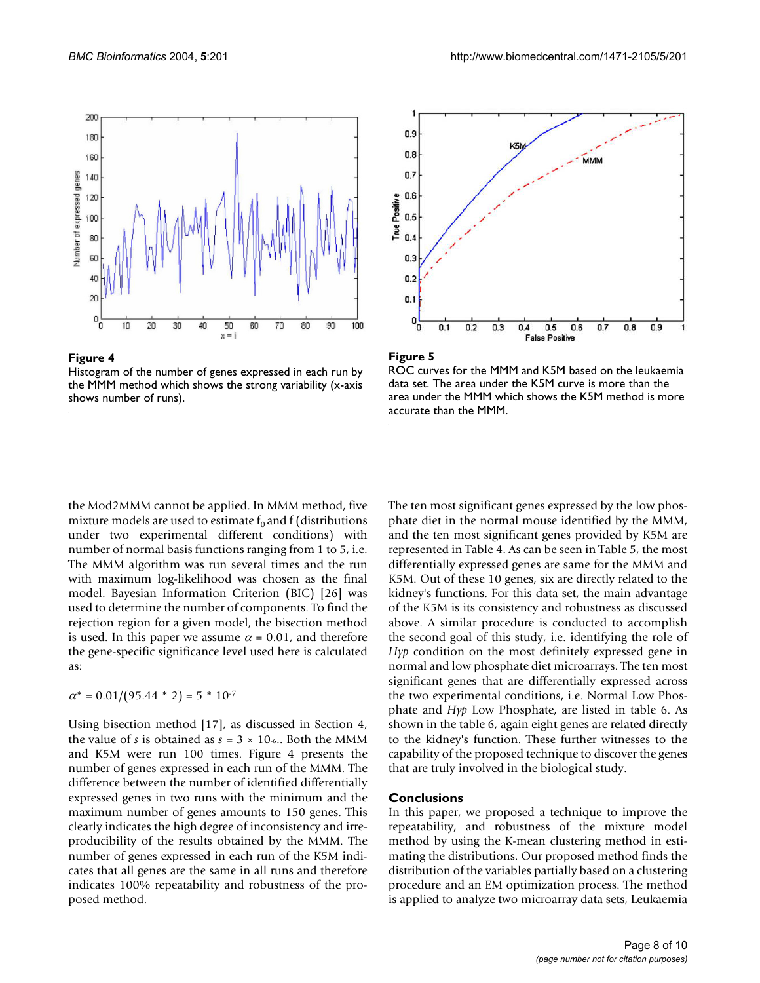



Histogram of the number of genes expressed in each run by the MMM method which shows the strong variability (x-axis shows number of runs).





ROC curves for the MMM and K5M based on the leukaemia data set. The area under the K5M curve is more than the area under the MMM which shows the K5M method is more accurate than the MMM.

the Mod2MMM cannot be applied. In MMM method, five mixture models are used to estimate  $f_0$  and f (distributions under two experimental different conditions) with number of normal basis functions ranging from 1 to 5, i.e. The MMM algorithm was run several times and the run with maximum log-likelihood was chosen as the final model. Bayesian Information Criterion (BIC) [26] was used to determine the number of components. To find the rejection region for a given model, the bisection method is used. In this paper we assume  $\alpha = 0.01$ , and therefore the gene-specific significance level used here is calculated as:

 $\alpha^* = 0.01/(95.44 * 2) = 5 * 10^{-7}$ 

Using bisection method [17], as discussed in Section 4, the value of *s* is obtained as  $s = 3 \times 10$ -6.. Both the MMM and K5M were run 100 times. Figure 4 presents the number of genes expressed in each run of the MMM. The difference between the number of identified differentially expressed genes in two runs with the minimum and the maximum number of genes amounts to 150 genes. This clearly indicates the high degree of inconsistency and irreproducibility of the results obtained by the MMM. The number of genes expressed in each run of the K5M indicates that all genes are the same in all runs and therefore indicates 100% repeatability and robustness of the proposed method.

The ten most significant genes expressed by the low phosphate diet in the normal mouse identified by the MMM, and the ten most significant genes provided by K5M are represented in Table [4](#page-4-1). As can be seen in Table 5, the most differentially expressed genes are same for the MMM and K5M. Out of these 10 genes, six are directly related to the kidney's functions. For this data set, the main advantage of the K5M is its consistency and robustness as discussed above. A similar procedure is conducted to accomplish the second goal of this study, i.e. identifying the role of *Hyp* condition on the most definitely expressed gene in normal and low phosphate diet microarrays. The ten most significant genes that are differentially expressed across the two experimental conditions, i.e. Normal Low Phosphate and *Hyp* Low Phosphate, are listed in table 6. As shown in the table 6, again eight genes are related directly to the kidney's function. These further witnesses to the capability of the proposed technique to discover the genes that are truly involved in the biological study.

# **Conclusions**

In this paper, we proposed a technique to improve the repeatability, and robustness of the mixture model method by using the K-mean clustering method in estimating the distributions. Our proposed method finds the distribution of the variables partially based on a clustering procedure and an EM optimization process. The method is applied to analyze two microarray data sets, Leukaemia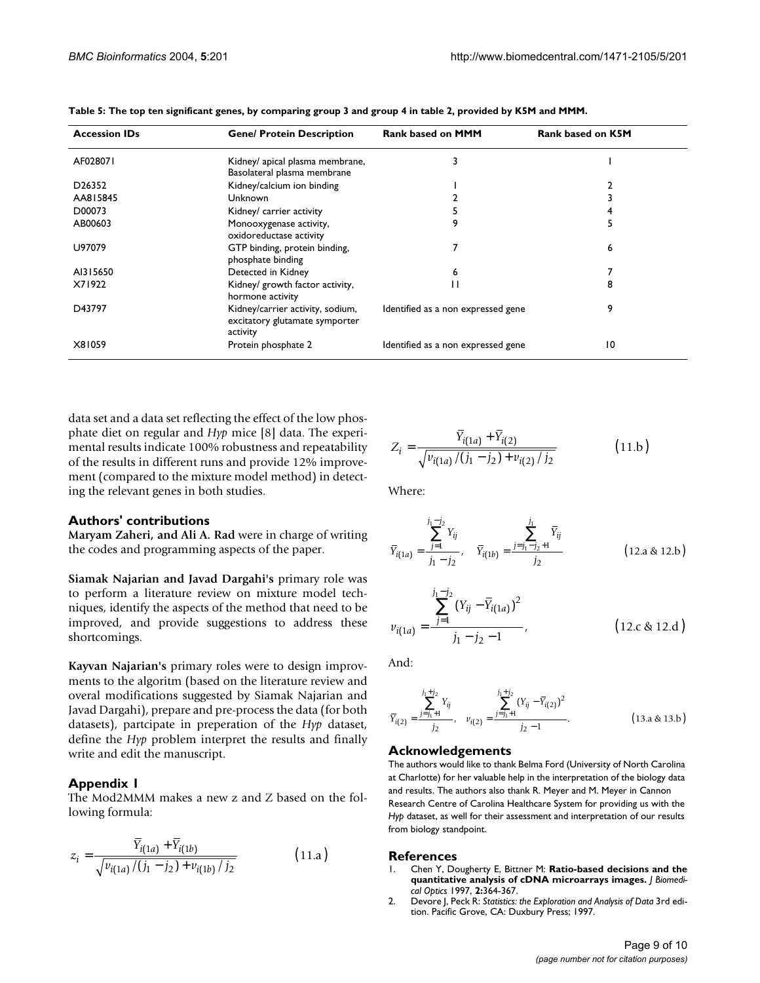| <b>Accession IDs</b>            | <b>Gene/ Protein Description</b>                                               | <b>Rank based on MMM</b>           | <b>Rank based on K5M</b> |
|---------------------------------|--------------------------------------------------------------------------------|------------------------------------|--------------------------|
| AF028071                        | Kidney/ apical plasma membrane,<br>Basolateral plasma membrane                 | 3                                  |                          |
| D <sub>26</sub> 35 <sub>2</sub> | Kidney/calcium ion binding                                                     |                                    |                          |
| AA815845                        | Unknown                                                                        |                                    |                          |
| D00073                          | Kidney/ carrier activity                                                       |                                    |                          |
| AB00603                         | Monooxygenase activity,<br>oxidoreductase activity                             | 9                                  |                          |
| U97079                          | GTP binding, protein binding,<br>phosphate binding                             |                                    | 6                        |
| AI315650                        | Detected in Kidney                                                             | 6                                  |                          |
| X71922                          | Kidney/ growth factor activity,<br>hormone activity                            |                                    |                          |
| D43797                          | Kidney/carrier activity, sodium,<br>excitatory glutamate symporter<br>activity | Identified as a non expressed gene | 9                        |
| X81059                          | Protein phosphate 2                                                            | Identified as a non expressed gene | 10                       |

| Table 5: The top ten significant genes, by comparing group 3 and group 4 in table 2, provided by K5M and MMM. |
|---------------------------------------------------------------------------------------------------------------|
|---------------------------------------------------------------------------------------------------------------|

data set and a data set reflecting the effect of the low phosphate diet on regular and *Hyp* mice [8] data. The experimental results indicate 100% robustness and repeatability of the results in different runs and provide 12% improvement (compared to the mixture model method) in detecting the relevant genes in both studies.

#### **Authors' contributions**

**Maryam Zaheri, and Ali A. Rad** were in charge of writing the codes and programming aspects of the paper.

**Siamak Najarian and Javad Dargahi's** primary role was to perform a literature review on mixture model techniques, identify the aspects of the method that need to be improved, and provide suggestions to address these shortcomings.

**Kayvan Najarian's** primary roles were to design improvments to the algoritm (based on the literature review and overal modifications suggested by Siamak Najarian and Javad Dargahi), prepare and pre-process the data (for both datasets), partcipate in preperation of the *Hyp* dataset, define the *Hyp* problem interpret the results and finally write and edit the manuscript.

# **Appendix 1**

The Mod2MMM makes a new z and Z based on the following formula:

$$
z_{i} = \frac{\overline{Y}_{i(1a)} + \overline{Y}_{i(1b)}}{\sqrt{v_{i(1a)} / (j_{1} - j_{2}) + v_{i(1b)} / j_{2}}}
$$
(11.a)

$$
Z_{i} = \frac{\overline{Y}_{i(1a)} + \overline{Y}_{i(2)}}{\sqrt{v_{i(1a)}/(j_{1} - j_{2}) + v_{i(2)}/j_{2}}}
$$
(11.b)

Where:

$$
\overline{Y}_{i(1a)} = \frac{\sum_{j=1}^{j_1 - j_2} Y_{ij}}{j_1 - j_2}, \quad \overline{Y}_{i(1b)} = \frac{\sum_{j=j_1 - j_2 + 1}^{j_1} \overline{Y}_{ij}}{j_2}
$$
\n(12.a & 12.b)

$$
v_{i(1a)} = \frac{\sum_{j=1}^{j_1 - j_2} (Y_{ij} - \overline{Y}_{i(1a)})^2}{j_1 - j_2 - 1},
$$
 (12.c & 12.d)

And:

$$
\overline{Y}_{i(2)} = \frac{\sum_{j=j_1+1}^{j_1+j_2} Y_{ij}}{j_2}, \quad v_{i(2)} = \frac{\sum_{j=j_1+1}^{j_1+j_2} (Y_{ij} - \overline{Y}_{i(2)})^2}{j_2 - 1}.
$$
\n(13.a & 13.b)

#### **Acknowledgements**

The authors would like to thank Belma Ford (University of North Carolina at Charlotte) for her valuable help in the interpretation of the biology data and results. The authors also thank R. Meyer and M. Meyer in Cannon Research Centre of Carolina Healthcare System for providing us with the *Hyp* dataset, as well for their assessment and interpretation of our results from biology standpoint.

#### **References**

- 1. Chen Y, Dougherty E, Bittner M: **Ratio-based decisions and the quantitative analysis of cDNA microarrays images.** *J Biomedical Optics* 1997, **2:**364-367.
- 2. Devore J, Peck R: *Statistics: the Exploration and Analysis of Data* 3rd edition. Pacific Grove, CA: Duxbury Press; 1997.